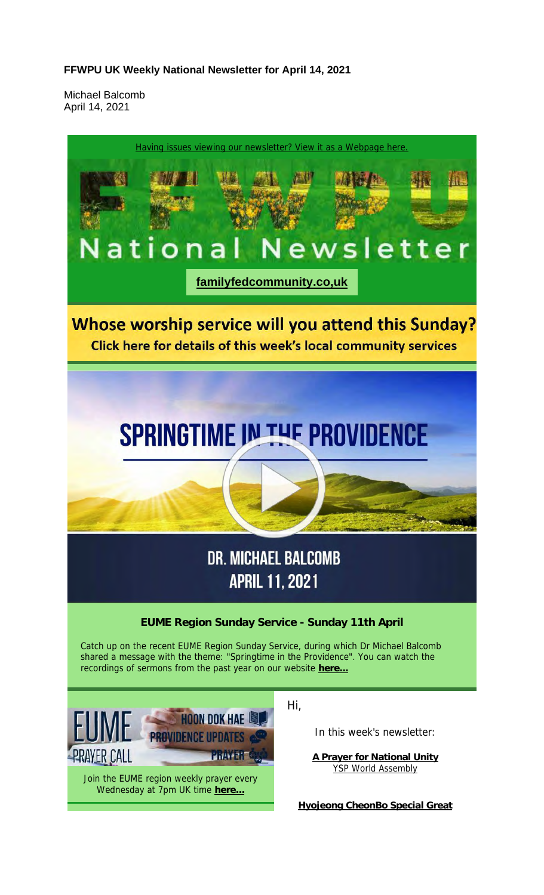#### **FFWPU UK Weekly National Newsletter for April 14, 2021**

Michael Balcomb April 14, 2021

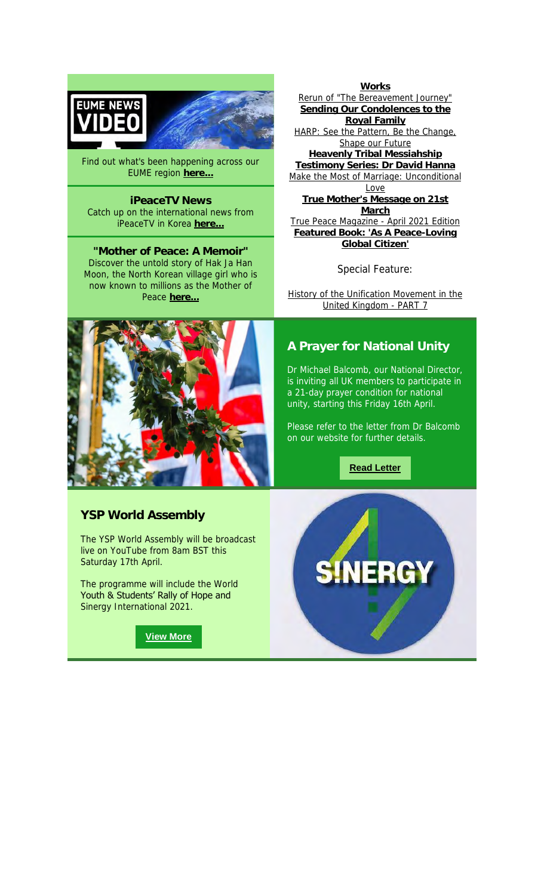



Find out what's been happening across our EUME region **here...**

**iPeaceTV News** Catch up on the international news from iPeaceTV in Korea **here...**

**"Mother of Peace: A Memoir"** Discover the untold story of Hak Ja Han Moon, the North Korean village girl who is now known to millions as the Mother of Peace here.



**Works** Rerun of "The Bereavement Journey" **Sending Our Condolences to the Royal Family** HARP: See the Pattern, Be the Change, Shape our Future **Heavenly Tribal Messiahship Testimony Series: Dr David Hanna** Make the Most of Marriage: Unconditional Love **True Mother's Message on 21st March** True Peace Magazine - April 2021 Edition **Featured Book: 'As A Peace-Loving Global Citizen'**

Special Feature:

History of the Unification Movement in the United Kingdom - PART 7

# **A Prayer for National Unity**

Dr Michael Balcomb, our National Director, is inviting all UK members to participate in a 21-day prayer condition for national unity, starting this Friday 16th April.

Please refer to the letter from Dr Balcomb on our website for further details.

**Read Letter**

# **YSP World Assembly**

The YSP World Assembly will be broadcast live on YouTube from 8am BST this Saturday 17th April.

The programme will include the World Youth & Students' Rally of Hope and Sinergy International 2021.

**View More**

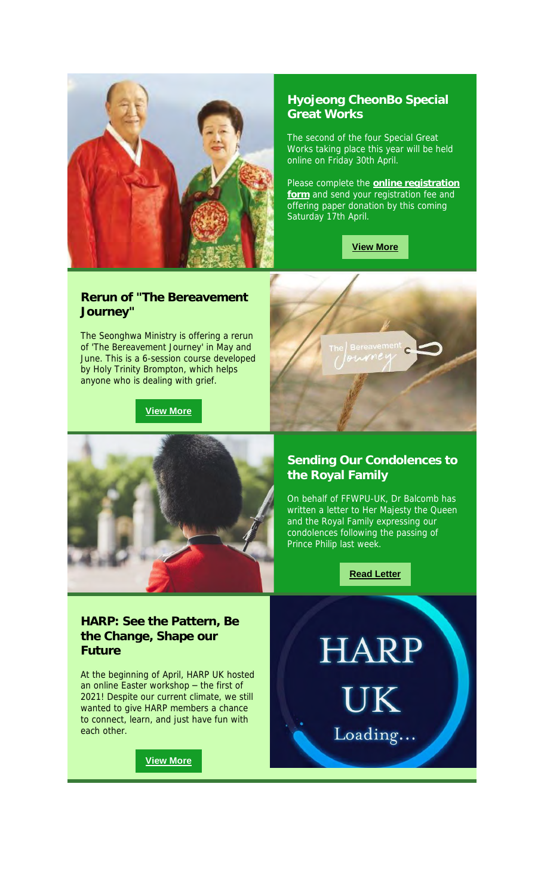

# **Hyojeong CheonBo Special Great Works**

The second of the four Special Great Works taking place this year will be held online on Friday 30th April.

Please complete the **online registration form** and send your registration fee and offering paper donation by this coming Saturday 17th April.



#### **Rerun of "The Bereavement Journey"**

The Seonghwa Ministry is offering a rerun of 'The Bereavement Journey' in May and June. This is a 6-session course developed by Holy Trinity Brompton, which helps anyone who is dealing with grief.

**View More**



# **Sending Our Condolences to the Royal Family**

On behalf of FFWPU-UK, Dr Balcomb has written a letter to Her Majesty the Queen and the Royal Family expressing our condolences following the passing of Prince Philip last week.

**Read Letter**

#### **HARP: See the Pattern, Be the Change, Shape our Future**

At the beginning of April, HARP UK hosted an online Easter workshop – the first of 2021! Despite our current climate, we still wanted to give HARP members a chance to connect, learn, and just have fun with each other.

**View More**

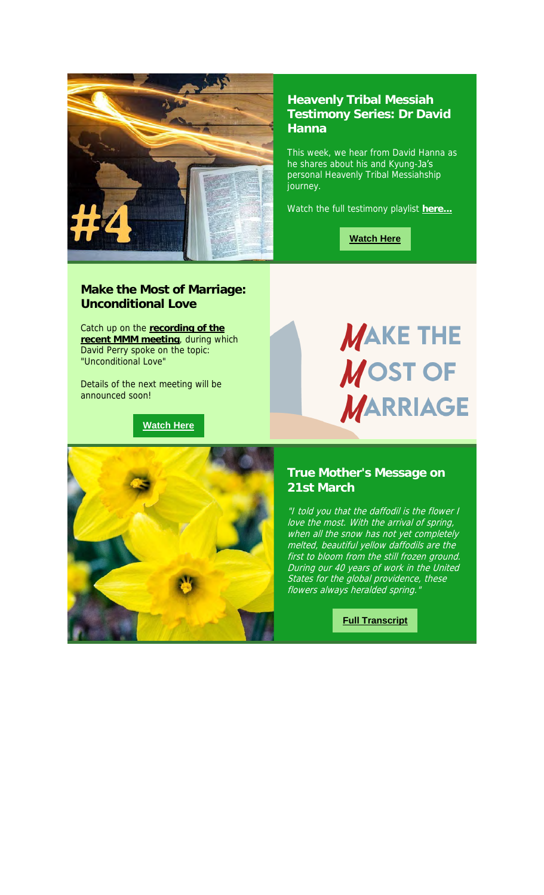

#### **Heavenly Tribal Messiah Testimony Series: Dr David Hanna**

This week, we hear from David Hanna as he shares about his and Kyung-Ja's personal Heavenly Tribal Messiahship journey.

Watch the full testimony playlist **here...**

**Watch Here**

# **Make the Most of Marriage: Unconditional Love**

Catch up on the **recording of the recent MMM meeting**, during which David Perry spoke on the topic: "Unconditional Love"

Details of the next meeting will be announced soon!

# **Watch Here**

# **MAKE THE MOST OF MARRIAGE**

# **True Mother's Message on 21st March**

"I told you that the daffodil is the flower I love the most. With the arrival of spring, when all the snow has not yet completely melted, beautiful yellow daffodils are the first to bloom from the still frozen ground. During our 40 years of work in the United States for the global providence, these France for the grown presences flowers always heralded spring.

**Full Transcript**

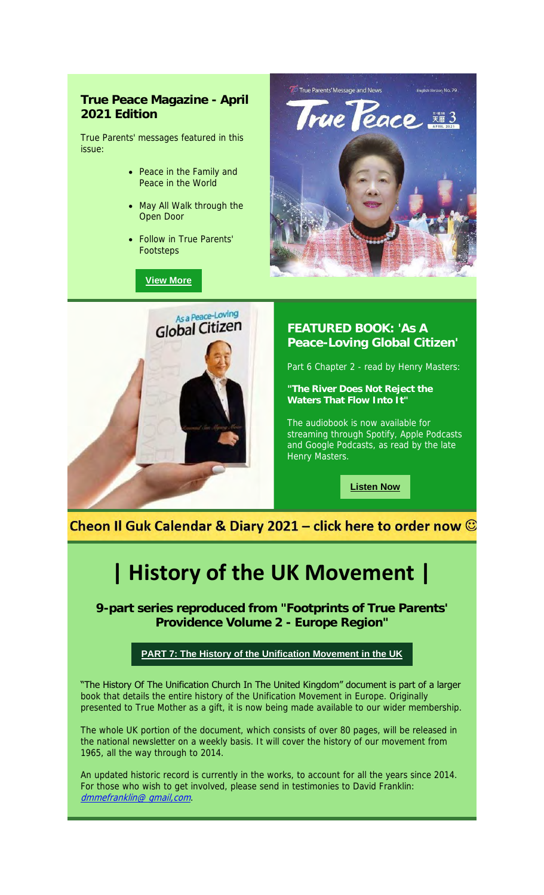# **True Peace Magazine - April 2021 Edition**

True Parents' messages featured in this issue:

- Peace in the Family and Peace in the World
- May All Walk through the Open Door
- Follow in True Parents' Footsteps

**View More**





# **FEATURED BOOK: 'As A Peace-Loving Global Citizen'**

Part 6 Chapter 2 - read by Henry Masters:

**"The River Does Not Reject the Waters That Flow Into It"**

The audiobook is now available for streaming through Spotify, Apple Podcasts and Google Podcasts, as read by the late Henry Masters.

**Listen Now**

Cheon Il Guk Calendar & Diary 2021 – click here to order now  $\odot$ 

# **| History of the UK Movement |**

**9-part series reproduced from "Footprints of True Parents' Providence Volume 2 - Europe Region"**

#### **PART 7: The History of the Unification Movement in the UK**

"The History Of The Unification Church In The United Kingdom" document is part of a larger book that details the entire history of the Unification Movement in Europe. Originally presented to True Mother as a gift, it is now being made available to our wider membership.

The whole UK portion of the document, which consists of over 80 pages, will be released in the national newsletter on a weekly basis. It will cover the history of our movement from 1965, all the way through to 2014.

An updated historic record is currently in the works, to account for all the years since 2014. For those who wish to get involved, please send in testimonies to David Franklin: dmmefranklin@ qmail, com.